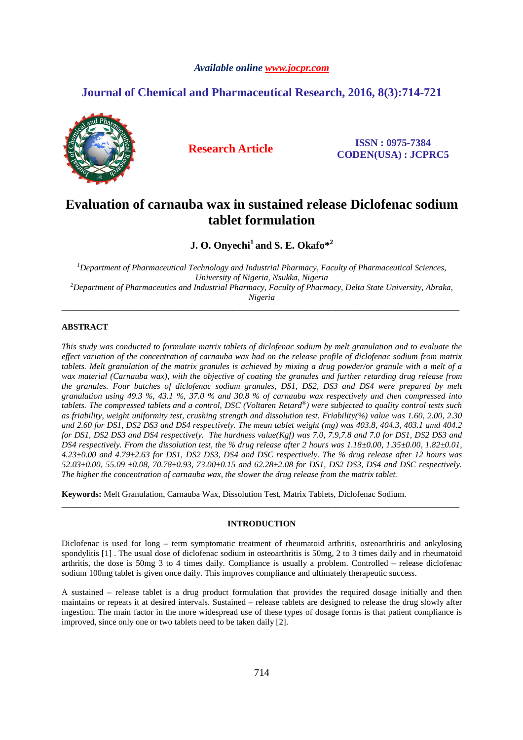# *Available online www.jocpr.com*

# **Journal of Chemical and Pharmaceutical Research, 2016, 8(3):714-721**



**Research Article ISSN : 0975-7384 CODEN(USA) : JCPRC5**

# **Evaluation of carnauba wax in sustained release Diclofenac sodium tablet formulation**

**J. O. Onyechi<sup>1</sup>and S. E. Okafo\*<sup>2</sup>**

*<sup>1</sup>Department of Pharmaceutical Technology and Industrial Pharmacy, Faculty of Pharmaceutical Sciences, University of Nigeria, Nsukka, Nigeria <sup>2</sup>Department of Pharmaceutics and Industrial Pharmacy, Faculty of Pharmacy, Delta State University, Abraka, Nigeria* 

\_\_\_\_\_\_\_\_\_\_\_\_\_\_\_\_\_\_\_\_\_\_\_\_\_\_\_\_\_\_\_\_\_\_\_\_\_\_\_\_\_\_\_\_\_\_\_\_\_\_\_\_\_\_\_\_\_\_\_\_\_\_\_\_\_\_\_\_\_\_\_\_\_\_\_\_\_\_\_\_\_\_\_\_\_\_\_\_\_\_\_\_\_

# **ABSTRACT**

*This study was conducted to formulate matrix tablets of diclofenac sodium by melt granulation and to evaluate the effect variation of the concentration of carnauba wax had on the release profile of diclofenac sodium from matrix tablets. Melt granulation of the matrix granules is achieved by mixing a drug powder/or granule with a melt of a wax material (Carnauba wax), with the objective of coating the granules and further retarding drug release from the granules. Four batches of diclofenac sodium granules, DS1, DS2, DS3 and DS4 were prepared by melt granulation using 49.3 %, 43.1 %, 37.0 % and 30.8 % of carnauba wax respectively and then compressed into tablets. The compressed tablets and a control, DSC (Voltaren Retard® ) were subjected to quality control tests such as friability, weight uniformity test, crushing strength and dissolution test. Friability(%) value was 1.60, 2.00, 2.30 and 2.60 for DS1, DS2 DS3 and DS4 respectively. The mean tablet weight (mg) was 403.8, 404.3, 403.1 amd 404.2 for DS1, DS2 DS3 and DS4 respectively. The hardness value(Kgf) was 7.0, 7.9,7.8 and 7.0 for DS1, DS2 DS3 and DS4 respectively. From the dissolution test, the % drug release after 2 hours was 1.18±0.00, 1.35±0.00, 1.82±0.01, 4.23±0.00 and 4.79±2.63 for DS1, DS2 DS3, DS4 and DSC respectively. The % drug release after 12 hours was 52.03±0.00, 55.09 ±0.08, 70.78±0.93, 73.00±0.15 and 62.28±2.08 for DS1, DS2 DS3, DS4 and DSC respectively. The higher the concentration of carnauba wax, the slower the drug release from the matrix tablet.* 

**Keywords:** Melt Granulation, Carnauba Wax, Dissolution Test, Matrix Tablets, Diclofenac Sodium.

# **INTRODUCTION**

\_\_\_\_\_\_\_\_\_\_\_\_\_\_\_\_\_\_\_\_\_\_\_\_\_\_\_\_\_\_\_\_\_\_\_\_\_\_\_\_\_\_\_\_\_\_\_\_\_\_\_\_\_\_\_\_\_\_\_\_\_\_\_\_\_\_\_\_\_\_\_\_\_\_\_\_\_\_\_\_\_\_\_\_\_\_\_\_\_\_\_\_\_

Diclofenac is used for long – term symptomatic treatment of rheumatoid arthritis, osteoarthritis and ankylosing spondylitis [1]. The usual dose of diclofenac sodium in osteoarthritis is 50mg, 2 to 3 times daily and in rheumatoid arthritis, the dose is 50mg 3 to 4 times daily. Compliance is usually a problem. Controlled – release diclofenac sodium 100mg tablet is given once daily. This improves compliance and ultimately therapeutic success.

A sustained – release tablet is a drug product formulation that provides the required dosage initially and then maintains or repeats it at desired intervals. Sustained – release tablets are designed to release the drug slowly after ingestion. The main factor in the more widespread use of these types of dosage forms is that patient compliance is improved, since only one or two tablets need to be taken daily [2].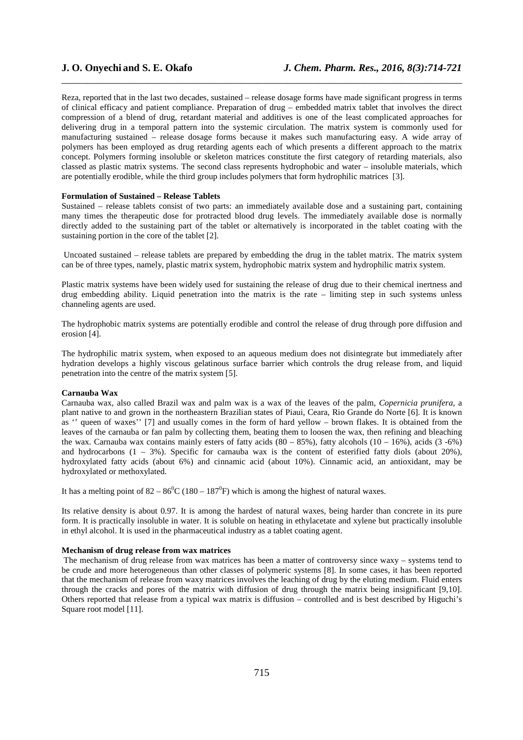Reza, reported that in the last two decades, sustained – release dosage forms have made significant progress in terms of clinical efficacy and patient compliance. Preparation of drug – embedded matrix tablet that involves the direct compression of a blend of drug, retardant material and additives is one of the least complicated approaches for delivering drug in a temporal pattern into the systemic circulation. The matrix system is commonly used for manufacturing sustained – release dosage forms because it makes such manufacturing easy. A wide array of polymers has been employed as drug retarding agents each of which presents a different approach to the matrix concept. Polymers forming insoluble or skeleton matrices constitute the first category of retarding materials, also classed as plastic matrix systems. The second class represents hydrophobic and water – insoluble materials, which are potentially erodible, while the third group includes polymers that form hydrophilic matrices [3].

\_\_\_\_\_\_\_\_\_\_\_\_\_\_\_\_\_\_\_\_\_\_\_\_\_\_\_\_\_\_\_\_\_\_\_\_\_\_\_\_\_\_\_\_\_\_\_\_\_\_\_\_\_\_\_\_\_\_\_\_\_\_\_\_\_\_\_\_\_\_\_\_\_\_\_\_\_\_

### **Formulation of Sustained – Release Tablets**

Sustained – release tablets consist of two parts: an immediately available dose and a sustaining part, containing many times the therapeutic dose for protracted blood drug levels. The immediately available dose is normally directly added to the sustaining part of the tablet or alternatively is incorporated in the tablet coating with the sustaining portion in the core of the tablet [2].

 Uncoated sustained – release tablets are prepared by embedding the drug in the tablet matrix. The matrix system can be of three types, namely, plastic matrix system, hydrophobic matrix system and hydrophilic matrix system.

Plastic matrix systems have been widely used for sustaining the release of drug due to their chemical inertness and  $d$ rug embedding ability. Liquid penetration into the matrix is the rate  $-\lim_{\alpha \to 0}$  step in such systems unless channeling agents are used.

The hydrophobic matrix systems are potentially erodible and control the release of drug through pore diffusion and erosion [4].

The hydrophilic matrix system, when exposed to an aqueous medium does not disintegrate but immediately after hydration develops a highly viscous gelatinous surface barrier which controls the drug release from, and liquid penetration into the centre of the matrix system [5].

#### **Carnauba Wax**

Carnauba wax, also called Brazil wax and palm wax is a wax of the leaves of the palm, *Copernicia prunifera*, a plant native to and grown in the northeastern Brazilian states of Piaui, Ceara, Rio Grande do Norte [6]. It is known as '' queen of waxes'' [7] and usually comes in the form of hard yellow – brown flakes. It is obtained from the leaves of the carnauba or fan palm by collecting them, beating them to loosen the wax, then refining and bleaching the wax. Carnauba wax contains mainly esters of fatty acids  $(80 - 85\%)$ , fatty alcohols  $(10 - 16\%)$ , acids  $(3 -6\%)$ and hydrocarbons  $(1 - 3\%)$ . Specific for carnauba wax is the content of esterified fatty diols (about 20%), hydroxylated fatty acids (about 6%) and cinnamic acid (about 10%). Cinnamic acid, an antioxidant, may be hydroxylated or methoxylated.

It has a melting point of  $82 - 86^{\circ}C(180 - 187^{\circ}F)$  which is among the highest of natural waxes.

Its relative density is about 0.97. It is among the hardest of natural waxes, being harder than concrete in its pure form. It is practically insoluble in water. It is soluble on heating in ethylacetate and xylene but practically insoluble in ethyl alcohol. It is used in the pharmaceutical industry as a tablet coating agent.

### **Mechanism of drug release from wax matrices**

 The mechanism of drug release from wax matrices has been a matter of controversy since waxy – systems tend to be crude and more heterogeneous than other classes of polymeric systems [8]. In some cases, it has been reported that the mechanism of release from waxy matrices involves the leaching of drug by the eluting medium. Fluid enters through the cracks and pores of the matrix with diffusion of drug through the matrix being insignificant [9,10]. Others reported that release from a typical wax matrix is diffusion – controlled and is best described by Higuchi's Square root model [11].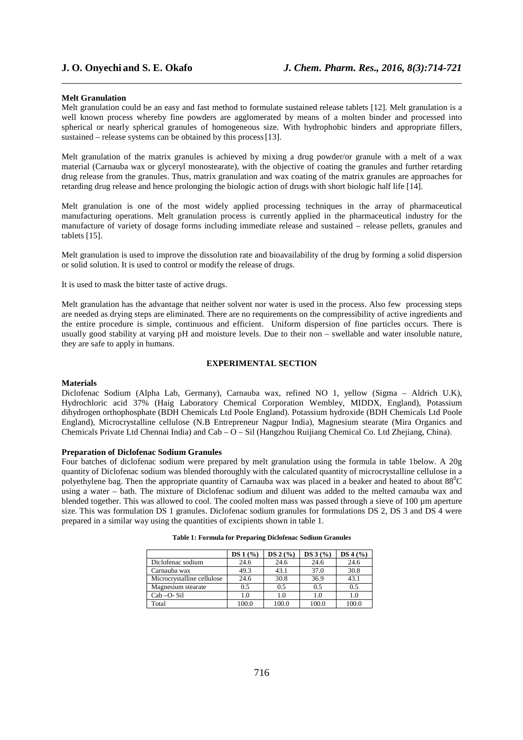#### **Melt Granulation**

Melt granulation could be an easy and fast method to formulate sustained release tablets [12]. Melt granulation is a well known process whereby fine powders are agglomerated by means of a molten binder and processed into spherical or nearly spherical granules of homogeneous size. With hydrophobic binders and appropriate fillers, sustained – release systems can be obtained by this process [13].

\_\_\_\_\_\_\_\_\_\_\_\_\_\_\_\_\_\_\_\_\_\_\_\_\_\_\_\_\_\_\_\_\_\_\_\_\_\_\_\_\_\_\_\_\_\_\_\_\_\_\_\_\_\_\_\_\_\_\_\_\_\_\_\_\_\_\_\_\_\_\_\_\_\_\_\_\_\_

Melt granulation of the matrix granules is achieved by mixing a drug powder/or granule with a melt of a wax material (Carnauba wax or glyceryl monostearate), with the objective of coating the granules and further retarding drug release from the granules. Thus, matrix granulation and wax coating of the matrix granules are approaches for retarding drug release and hence prolonging the biologic action of drugs with short biologic half life [14].

Melt granulation is one of the most widely applied processing techniques in the array of pharmaceutical manufacturing operations. Melt granulation process is currently applied in the pharmaceutical industry for the manufacture of variety of dosage forms including immediate release and sustained – release pellets, granules and tablets [15].

Melt granulation is used to improve the dissolution rate and bioavailability of the drug by forming a solid dispersion or solid solution. It is used to control or modify the release of drugs.

It is used to mask the bitter taste of active drugs.

Melt granulation has the advantage that neither solvent nor water is used in the process. Also few processing steps are needed as drying steps are eliminated. There are no requirements on the compressibility of active ingredients and the entire procedure is simple, continuous and efficient. Uniform dispersion of fine particles occurs. There is usually good stability at varying pH and moisture levels. Due to their non – swellable and water insoluble nature, they are safe to apply in humans.

### **EXPERIMENTAL SECTION**

## **Materials**

Diclofenac Sodium (Alpha Lab, Germany), Carnauba wax, refined NO 1, yellow (Sigma – Aldrich U.K), Hydrochloric acid 37% (Haig Laboratory Chemical Corporation Wembley, MIDDX, England), Potassium dihydrogen orthophosphate (BDH Chemicals Ltd Poole England). Potassium hydroxide (BDH Chemicals Ltd Poole England), Microcrystalline cellulose (N.B Entrepreneur Nagpur India), Magnesium stearate (Mira Organics and Chemicals Private Ltd Chennai India) and Cab – O – Sil (Hangzhou Ruijiang Chemical Co. Ltd Zhejiang, China).

#### **Preparation of Diclofenac Sodium Granules**

Four batches of diclofenac sodium were prepared by melt granulation using the formula in table 1below. A 20g quantity of Diclofenac sodium was blended thoroughly with the calculated quantity of microcrystalline cellulose in a polyethylene bag. Then the appropriate quantity of Carnauba wax was placed in a beaker and heated to about  $88^{\circ}$ C using a water – bath. The mixture of Diclofenac sodium and diluent was added to the melted carnauba wax and blended together. This was allowed to cool. The cooled molten mass was passed through a sieve of 100 µm aperture size. This was formulation DS 1 granules. Diclofenac sodium granules for formulations DS 2, DS 3 and DS 4 were prepared in a similar way using the quantities of excipients shown in table 1.

|                            | $DS 1$ (%) | DS 2(%) | $DS 3$ (%) | DS 4 (%) |
|----------------------------|------------|---------|------------|----------|
| Diclofenac sodium          | 24.6       | 24.6    | 24.6       | 24.6     |
| Carnauba wax               | 49.3       | 43.1    | 37.0       | 30.8     |
| Microcrystalline cellulose | 24.6       | 30.8    | 36.9       | 43.1     |
| Magnesium stearate         | 0.5        | 0.5     | 0.5        | 0.5      |
| $Cab-O-Sil$                | 1.0        | 1.0     | 1.0        | 1.0      |
| Total                      | 100.0      | 100.0   | 100.0      | 100.0    |

|  |  |  | Table 1: Formula for Preparing Diclofenac Sodium Granules |
|--|--|--|-----------------------------------------------------------|
|--|--|--|-----------------------------------------------------------|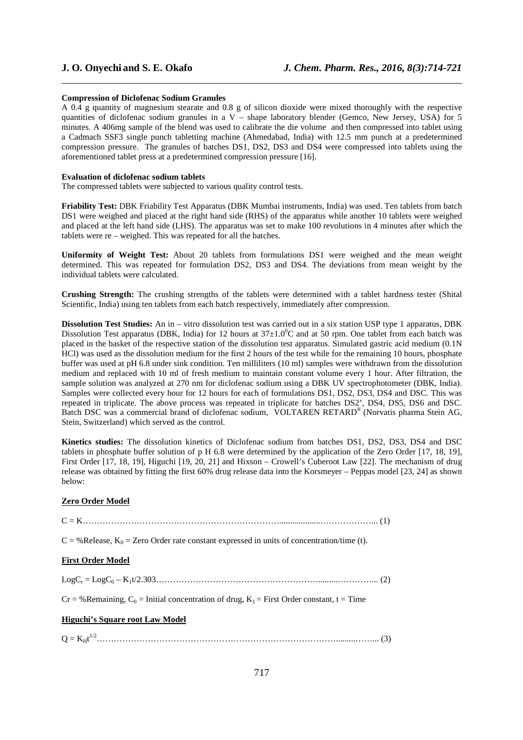#### **Compression of Diclofenac Sodium Granules**

A 0.4 g quantity of magnesium stearate and 0.8 g of silicon dioxide were mixed thoroughly with the respective quantities of diclofenac sodium granules in a V – shape laboratory blender (Gemco, New Jersey, USA) for 5 minutes. A 406mg sample of the blend was used to calibrate the die volume and then compressed into tablet using a Cadmach SSF3 single punch tabletting machine (Ahmedabad, India) with 12.5 mm punch at a predetermined compression pressure. The granules of batches DS1, DS2, DS3 and DS4 were compressed into tablets using the aforementioned tablet press at a predetermined compression pressure [16].

\_\_\_\_\_\_\_\_\_\_\_\_\_\_\_\_\_\_\_\_\_\_\_\_\_\_\_\_\_\_\_\_\_\_\_\_\_\_\_\_\_\_\_\_\_\_\_\_\_\_\_\_\_\_\_\_\_\_\_\_\_\_\_\_\_\_\_\_\_\_\_\_\_\_\_\_\_\_

#### **Evaluation of diclofenac sodium tablets**

The compressed tablets were subjected to various quality control tests.

**Friability Test:** DBK Friability Test Apparatus (DBK Mumbai instruments, India) was used. Ten tablets from batch DS1 were weighed and placed at the right hand side (RHS) of the apparatus while another 10 tablets were weighed and placed at the left hand side (LHS). The apparatus was set to make 100 revolutions in 4 minutes after which the tablets were re – weighed. This was repeated for all the batches.

**Uniformity of Weight Test:** About 20 tablets from formulations DS1 were weighed and the mean weight determined. This was repeated for formulation DS2, DS3 and DS4. The deviations from mean weight by the individual tablets were calculated.

**Crushing Strength:** The crushing strengths of the tablets were determined with a tablet hardness tester (Shital Scientific, India) using ten tablets from each batch respectively, immediately after compression.

**Dissolution Test Studies:** An in – vitro dissolution test was carried out in a six station USP type 1 apparatus, DBK Dissolution Test apparatus (DBK, India) for 12 hours at  $37\pm1.0^{\circ}$ C and at 50 rpm. One tablet from each batch was placed in the basket of the respective station of the dissolution test apparatus. Simulated gastric acid medium (0.1N HCl) was used as the dissolution medium for the first 2 hours of the test while for the remaining 10 hours, phosphate buffer was used at pH 6.8 under sink condition. Ten milliliters (10 ml) samples were withdrawn from the dissolution medium and replaced with 10 ml of fresh medium to maintain constant volume every 1 hour. After filtration, the sample solution was analyzed at 270 nm for diclofenac sodium using a DBK UV spectrophotometer (DBK, India). Samples were collected every hour for 12 hours for each of formulations DS1, DS2, DS3, DS4 and DSC. This was repeated in triplicate. The above process was repeated in triplicate for batches DS2', DS4, DS5, DS6 and DSC. Batch DSC was a commercial brand of diclofenac sodium, VOLTAREN RETARD® (Norvatis pharma Stein AG, Stein, Switzerland) which served as the control.

**Kinetics studies:** The dissolution kinetics of Diclofenac sodium from batches DS1, DS2, DS3, DS4 and DSC tablets in phosphate buffer solution of p H 6.8 were determined by the application of the Zero Order [17, 18, 19], First Order [17, 18, 19], Higuchi [19, 20, 21] and Hixson – Crowell's Cuberoot Law [22]. The mechanism of drug release was obtained by fitting the first 60% drug release data into the Korsmeyer – Peppas model [23, 24] as shown below:

### **Zero Order Model**

| $C = \%$ Release, $K_0 =$ Zero Order rate constant expressed in units of concentration/time (t). |
|--------------------------------------------------------------------------------------------------|
| <b>First Order Model</b>                                                                         |
|                                                                                                  |
| $Cr = %Remaining, C0 = Initial concentration of drug, K1 = First Order constant, t = Time$       |
| <b>Higuchi's Square root Law Model</b>                                                           |
|                                                                                                  |
|                                                                                                  |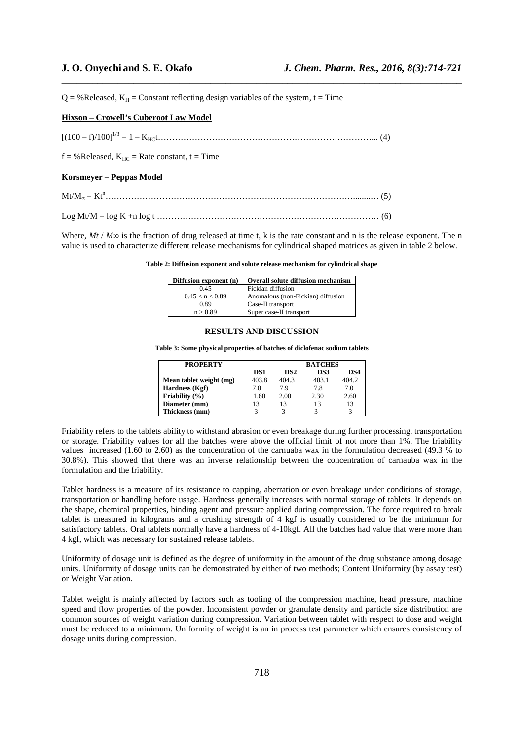$Q = \%$ Released,  $K_H =$ Constant reflecting design variables of the system, t = Time

#### **Hixson – Crowell's Cuberoot Law Model**

 $[(100 - f)/100]^{1/3} = 1 - K_{\text{HC}} t \dots (4)$ 

 $f = %$ Released,  $K_{HC} =$ Rate constant,  $t = Time$ 

#### **Korsmeyer – Peppas Model**

Mt/M<sup>∞</sup> = Kt<sup>n</sup>……………………………………………………………………………........… (5)

Log Mt/M = log K +n log t …………………………………………………………………… (6)

Where,  $Mt / M\infty$  is the fraction of drug released at time t, k is the rate constant and n is the release exponent. The n value is used to characterize different release mechanisms for cylindrical shaped matrices as given in table 2 below.

\_\_\_\_\_\_\_\_\_\_\_\_\_\_\_\_\_\_\_\_\_\_\_\_\_\_\_\_\_\_\_\_\_\_\_\_\_\_\_\_\_\_\_\_\_\_\_\_\_\_\_\_\_\_\_\_\_\_\_\_\_\_\_\_\_\_\_\_\_\_\_\_\_\_\_\_\_\_

#### **Table 2: Diffusion exponent and solute release mechanism for cylindrical shape**

| Diffusion exponent (n) | <b>Overall solute diffusion mechanism</b> |
|------------------------|-------------------------------------------|
| 0.45                   | Fickian diffusion                         |
| 0.45 < n < 0.89        | Anomalous (non-Fickian) diffusion         |
| 0.89                   | Case-II transport                         |
| n > 0.89               | Super case-II transport                   |

## **RESULTS AND DISCUSSION**

**Table 3: Some physical properties of batches of diclofenac sodium tablets** 

| <b>PROPERTY</b>         |       | <b>BATCHES</b>  |       |       |  |
|-------------------------|-------|-----------------|-------|-------|--|
|                         | DS1   | DS <sub>2</sub> | DS3   | DS4   |  |
| Mean tablet weight (mg) | 403.8 | 404.3           | 403.1 | 404.2 |  |
| Hardness (Kgf)          | 7.0   | 79              | 7.8   | 7.0   |  |
| Friability $(\% )$      | 1.60  | 2.00            | 2.30  | 2.60  |  |
| Diameter (mm)           | 13    | 13              | 13    | 13    |  |
| Thickness (mm)          |       |                 |       |       |  |

Friability refers to the tablets ability to withstand abrasion or even breakage during further processing, transportation or storage. Friability values for all the batches were above the official limit of not more than 1%. The friability values increased (1.60 to 2.60) as the concentration of the carnuaba wax in the formulation decreased (49.3 % to 30.8%). This showed that there was an inverse relationship between the concentration of carnauba wax in the formulation and the friability.

Tablet hardness is a measure of its resistance to capping, aberration or even breakage under conditions of storage, transportation or handling before usage. Hardness generally increases with normal storage of tablets. It depends on the shape, chemical properties, binding agent and pressure applied during compression. The force required to break tablet is measured in kilograms and a crushing strength of 4 kgf is usually considered to be the minimum for satisfactory tablets. Oral tablets normally have a hardness of 4-10kgf. All the batches had value that were more than 4 kgf, which was necessary for sustained release tablets.

Uniformity of dosage unit is defined as the degree of uniformity in the amount of the drug substance among dosage units. Uniformity of dosage units can be demonstrated by either of two methods; Content Uniformity (by assay test) or Weight Variation.

Tablet weight is mainly affected by factors such as tooling of the compression machine, head pressure, machine speed and flow properties of the powder. Inconsistent powder or granulate density and particle size distribution are common sources of weight variation during compression. Variation between tablet with respect to dose and weight must be reduced to a minimum. Uniformity of weight is an in process test parameter which ensures consistency of dosage units during compression.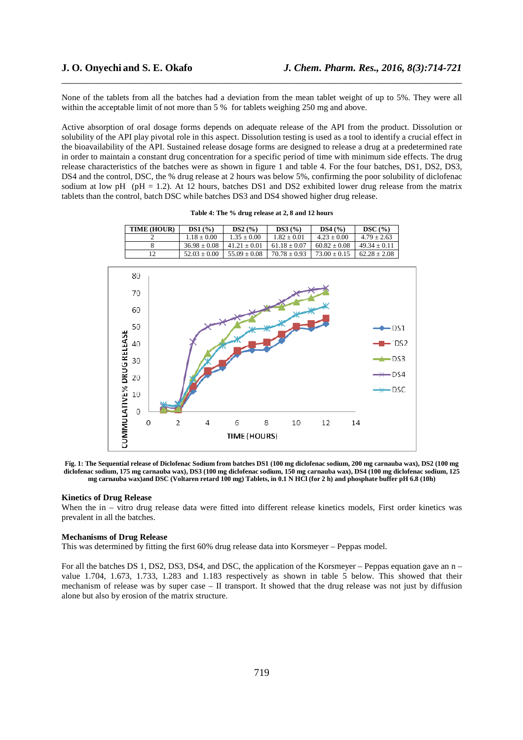None of the tablets from all the batches had a deviation from the mean tablet weight of up to 5%. They were all within the acceptable limit of not more than 5 % for tablets weighing 250 mg and above.

\_\_\_\_\_\_\_\_\_\_\_\_\_\_\_\_\_\_\_\_\_\_\_\_\_\_\_\_\_\_\_\_\_\_\_\_\_\_\_\_\_\_\_\_\_\_\_\_\_\_\_\_\_\_\_\_\_\_\_\_\_\_\_\_\_\_\_\_\_\_\_\_\_\_\_\_\_\_

Active absorption of oral dosage forms depends on adequate release of the API from the product. Dissolution or solubility of the API play pivotal role in this aspect. Dissolution testing is used as a tool to identify a crucial effect in the bioavailability of the API. Sustained release dosage forms are designed to release a drug at a predetermined rate in order to maintain a constant drug concentration for a specific period of time with minimum side effects. The drug release characteristics of the batches were as shown in figure 1 and table 4. For the four batches, DS1, DS2, DS3, DS4 and the control, DSC, the % drug release at 2 hours was below 5%, confirming the poor solubility of diclofenac sodium at low pH (pH = 1.2). At 12 hours, batches DS1 and DS2 exhibited lower drug release from the matrix tablets than the control, batch DSC while batches DS3 and DS4 showed higher drug release.

| TIME (HOUR) | DS1(%)           | DS2(%)           | DS3(%)         | DS4(%)           | DSC(%)           |
|-------------|------------------|------------------|----------------|------------------|------------------|
|             | $1.18 + 0.00$    | $1.35 + 0.00$    | $1.82 + 0.01$  | $4.23 + 0.00$    | $4.79 \pm 2.63$  |
|             | $36.98 \pm 0.08$ | $41.21 + 0.01$   | $61.18 + 0.07$ | $60.82 + 0.08$   | $49.34 + 0.11$   |
| 12          | $52.03 \pm 0.00$ | $55.09 \pm 0.08$ | $70.78 + 0.93$ | $73.00 \pm 0.15$ | $62.28 \pm 2.08$ |





**Fig. 1: The Sequential release of Diclofenac Sodium from batches DS1 (100 mg diclofenac sodium, 200 mg carnauba wax), DS2 (100 mg diclofenac sodium, 175 mg carnauba wax), DS3 (100 mg diclofenac sodium, 150 mg carnauba wax), DS4 (100 mg diclofenac sodium, 125 mg carnauba wax)and DSC (Voltaren retard 100 mg) Tablets, in 0.1 N HCl (for 2 h) and phosphate buffer pH 6.8 (10h)** 

#### **Kinetics of Drug Release**

When the in – vitro drug release data were fitted into different release kinetics models, First order kinetics was prevalent in all the batches.

#### **Mechanisms of Drug Release**

This was determined by fitting the first 60% drug release data into Korsmeyer – Peppas model.

For all the batches DS 1, DS2, DS3, DS4, and DSC, the application of the Korsmeyer – Peppas equation gave an n – value 1.704, 1.673, 1.733, 1.283 and 1.183 respectively as shown in table 5 below. This showed that their mechanism of release was by super case – II transport. It showed that the drug release was not just by diffusion alone but also by erosion of the matrix structure.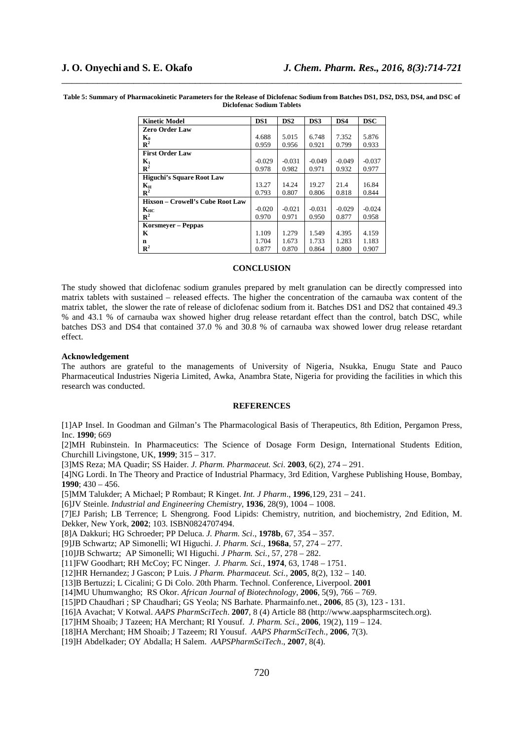**Table 5: Summary of Pharmacokinetic Parameters for the Release of Diclofenac Sodium from Batches DS1, DS2, DS3, DS4, and DSC of Diclofenac Sodium Tablets** 

\_\_\_\_\_\_\_\_\_\_\_\_\_\_\_\_\_\_\_\_\_\_\_\_\_\_\_\_\_\_\_\_\_\_\_\_\_\_\_\_\_\_\_\_\_\_\_\_\_\_\_\_\_\_\_\_\_\_\_\_\_\_\_\_\_\_\_\_\_\_\_\_\_\_\_\_\_\_

| <b>Kinetic Model</b>                    | DS1      | DS2      | DS3      | DS4      | <b>DSC</b> |
|-----------------------------------------|----------|----------|----------|----------|------------|
| <b>Zero Order Law</b>                   |          |          |          |          |            |
| $K_0$                                   | 4.688    | 5.015    | 6.748    | 7.352    | 5.876      |
| $\mathbb{R}^2$                          | 0.959    | 0.956    | 0.921    | 0.799    | 0.933      |
| <b>First Order Law</b>                  |          |          |          |          |            |
| $K_1$                                   | $-0.029$ | $-0.031$ | $-0.049$ | $-0.049$ | $-0.037$   |
| $\mathbb{R}^2$                          | 0.978    | 0.982    | 0.971    | 0.932    | 0.977      |
| <b>Higuchi's Square Root Law</b>        |          |          |          |          |            |
| $K_{\rm H}$                             | 13.27    | 14.24    | 19.27    | 21.4     | 16.84      |
| $\mathbb{R}^2$                          | 0.793    | 0.807    | 0.806    | 0.818    | 0.844      |
| <b>Hixson – Crowell's Cube Root Law</b> |          |          |          |          |            |
| $K_{HC}$                                | $-0.020$ | $-0.021$ | $-0.031$ | $-0.029$ | $-0.024$   |
| $\mathbb{R}^2$                          | 0.970    | 0.971    | 0.950    | 0.877    | 0.958      |
| <b>Korsmeyer – Peppas</b>               |          |          |          |          |            |
| K                                       | 1.109    | 1.279    | 1.549    | 4.395    | 4.159      |
| $\mathbf n$                             | 1.704    | 1.673    | 1.733    | 1.283    | 1.183      |
| $\mathbb{R}^2$                          | 0.877    | 0.870    | 0.864    | 0.800    | 0.907      |

#### **CONCLUSION**

The study showed that diclofenac sodium granules prepared by melt granulation can be directly compressed into matrix tablets with sustained – released effects. The higher the concentration of the carnauba wax content of the matrix tablet, the slower the rate of release of diclofenac sodium from it. Batches DS1 and DS2 that contained 49.3 % and 43.1 % of carnauba wax showed higher drug release retardant effect than the control, batch DSC, while batches DS3 and DS4 that contained 37.0 % and 30.8 % of carnauba wax showed lower drug release retardant effect.

#### **Acknowledgement**

The authors are grateful to the managements of University of Nigeria, Nsukka, Enugu State and Pauco Pharmaceutical Industries Nigeria Limited, Awka, Anambra State, Nigeria for providing the facilities in which this research was conducted.

#### **REFERENCES**

[1]AP Insel. In Goodman and Gilman's The Pharmacological Basis of Therapeutics, 8th Edition, Pergamon Press, Inc. **1990**; 669

[2]MH Rubinstein. In Pharmaceutics: The Science of Dosage Form Design, International Students Edition, Churchill Livingstone, UK, **1999**; 315 – 317.

[3]MS Reza; MA Quadir; SS Haider*. J. Pharm. Pharmaceut. Sci*. **2003**, 6(2), 274 – 291.

[4]NG Lordi. In The Theory and Practice of Industrial Pharmacy, 3rd Edition, Varghese Publishing House, Bombay, **1990**; 430 – 456.

[5]MM Talukder; A Michael; P Rombaut; R Kinget. *Int. J Pharm*., **1996**,129, 231 – 241.

[6]JV Steinle. *Industrial and Engineering Chemistry*, **1936**, 28(9), 1004 – 1008.

[7]EJ Parish; LB Terrence; L Shengrong. Food Lipids: Chemistry, nutrition, and biochemistry, 2nd Edition, M. Dekker, New York, **2002**; 103. ISBN0824707494.

[8]A Dakkuri; HG Schroeder; PP Deluca. *J. Pharm. Sci*., **1978b**, 67, 354 – 357.

[9]JB Schwartz; AP Simonelli; WI Higuchi. *J. Pharm. Sci*., **1968a**, 57, 274 – 277.

[10]JB Schwartz; AP Simonelli; WI Higuchi. *J Pharm. Sci.,* 57, 278 – 282.

[11]FW Goodhart; RH McCoy; FC Ninger. *J. Pharm. Sci.*, **1974**, 63, 1748 – 1751.

[12]HR Hernandez; J Gascon; P Luis. *J Pharm. Pharmaceut. Sci.,* **2005**, 8(2), 132 – 140.

[13]B Bertuzzi; L Cicalini; G Di Colo. 20th Pharm. Technol. Conference, Liverpool. **2001**

[14]MU Uhumwangho; RS Okor. *African Journal of Biotechnology*, **2006**, 5(9), 766 – 769.

[15]PD Chaudhari ; SP Chaudhari; GS Yeola; NS Barhate. Pharmainfo.net., **2006**, 85 (3), 123 - 131.

[16]A Avachat; V Kotwal. *AAPS PharmSciTech*. **2007**, 8 (4) Article 88 (http://www.aapspharmscitech.org).

- [17]HM Shoaib; J Tazeen; HA Merchant; RI Yousuf. *J. Pharm. Sci*., **2006**, 19(2), 119 124.
- [18]HA Merchant; HM Shoaib; J Tazeem; RI Yousuf. *AAPS PharmSciTech.,* **2006**, 7(3).

[19]H Abdelkader; OY Abdalla; H Salem. *AAPSPharmSciTech*., **2007**, 8(4).